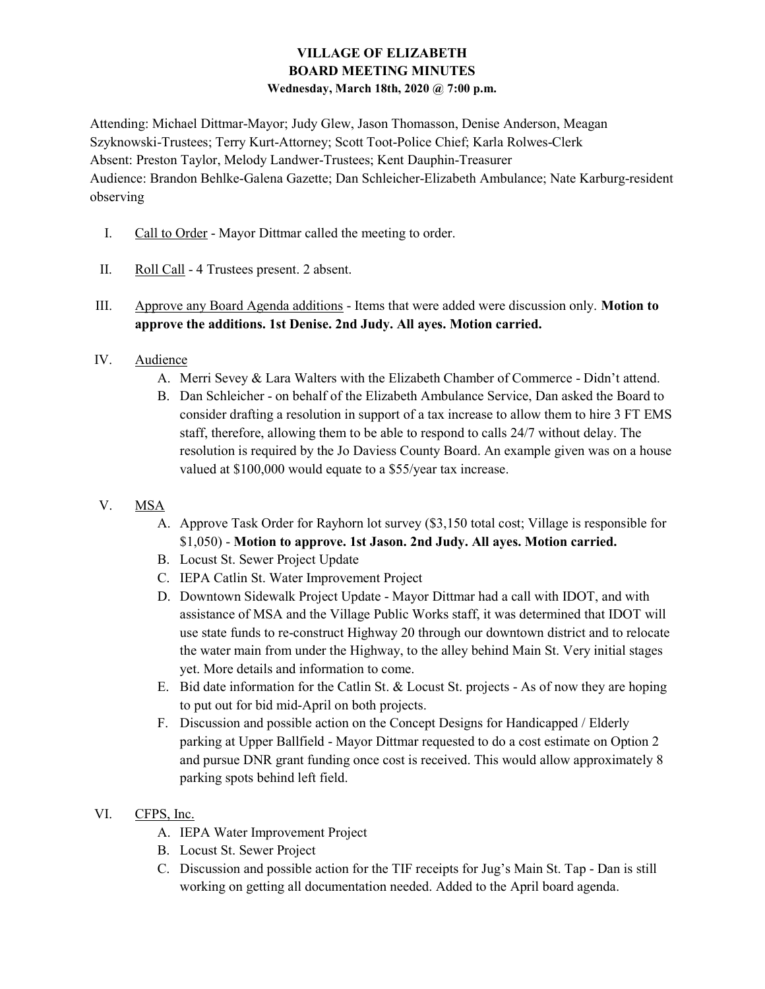## VILLAGE OF ELIZABETH BOARD MEETING MINUTES Wednesday, March 18th, 2020 @ 7:00 p.m.

Attending: Michael Dittmar-Mayor; Judy Glew, Jason Thomasson, Denise Anderson, Meagan Szyknowski-Trustees; Terry Kurt-Attorney; Scott Toot-Police Chief; Karla Rolwes-Clerk Absent: Preston Taylor, Melody Landwer-Trustees; Kent Dauphin-Treasurer Audience: Brandon Behlke-Galena Gazette; Dan Schleicher-Elizabeth Ambulance; Nate Karburg-resident observing

- I. Call to Order Mayor Dittmar called the meeting to order.
- II. Roll Call 4 Trustees present. 2 absent.
- III. Approve any Board Agenda additions Items that were added were discussion only. Motion to approve the additions. 1st Denise. 2nd Judy. All ayes. Motion carried.
- IV. Audience
	- A. Merri Sevey & Lara Walters with the Elizabeth Chamber of Commerce Didn't attend.
	- B. Dan Schleicher on behalf of the Elizabeth Ambulance Service, Dan asked the Board to consider drafting a resolution in support of a tax increase to allow them to hire 3 FT EMS staff, therefore, allowing them to be able to respond to calls 24/7 without delay. The resolution is required by the Jo Daviess County Board. An example given was on a house valued at \$100,000 would equate to a \$55/year tax increase.
- V. MSA
	- A. Approve Task Order for Rayhorn lot survey (\$3,150 total cost; Village is responsible for \$1,050) - Motion to approve. 1st Jason. 2nd Judy. All ayes. Motion carried.
	- B. Locust St. Sewer Project Update
	- C. IEPA Catlin St. Water Improvement Project
	- D. Downtown Sidewalk Project Update Mayor Dittmar had a call with IDOT, and with assistance of MSA and the Village Public Works staff, it was determined that IDOT will use state funds to re-construct Highway 20 through our downtown district and to relocate the water main from under the Highway, to the alley behind Main St. Very initial stages yet. More details and information to come.
	- E. Bid date information for the Catlin St. & Locust St. projects As of now they are hoping to put out for bid mid-April on both projects.
	- F. Discussion and possible action on the Concept Designs for Handicapped / Elderly parking at Upper Ballfield - Mayor Dittmar requested to do a cost estimate on Option 2 and pursue DNR grant funding once cost is received. This would allow approximately 8 parking spots behind left field.
- VI. CFPS, Inc.
	- A. IEPA Water Improvement Project
	- B. Locust St. Sewer Project
	- C. Discussion and possible action for the TIF receipts for Jug's Main St. Tap Dan is still working on getting all documentation needed. Added to the April board agenda.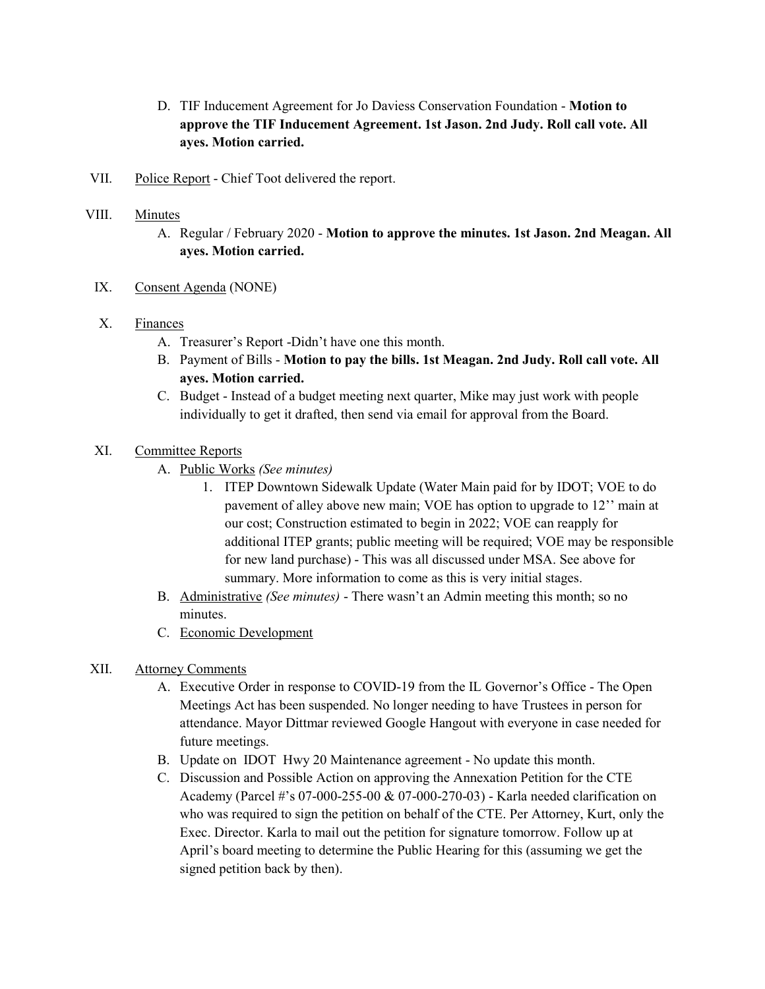- D. TIF Inducement Agreement for Jo Daviess Conservation Foundation Motion to approve the TIF Inducement Agreement. 1st Jason. 2nd Judy. Roll call vote. All ayes. Motion carried.
- VII. Police Report Chief Toot delivered the report.
- VIII. Minutes
	- A. Regular / February 2020 Motion to approve the minutes. 1st Jason. 2nd Meagan. All ayes. Motion carried.
	- IX. Consent Agenda (NONE)

#### X. Finances

- A. Treasurer's Report -Didn't have one this month.
- B. Payment of Bills Motion to pay the bills. 1st Meagan. 2nd Judy. Roll call vote. All ayes. Motion carried.
- C. Budget Instead of a budget meeting next quarter, Mike may just work with people individually to get it drafted, then send via email for approval from the Board.

#### XI. Committee Reports

- A. Public Works (See minutes)
	- 1. ITEP Downtown Sidewalk Update (Water Main paid for by IDOT; VOE to do pavement of alley above new main; VOE has option to upgrade to 12'' main at our cost; Construction estimated to begin in 2022; VOE can reapply for additional ITEP grants; public meeting will be required; VOE may be responsible for new land purchase) - This was all discussed under MSA. See above for summary. More information to come as this is very initial stages.
- B. Administrative (See minutes) There wasn't an Admin meeting this month; so no minutes.
- C. Economic Development

#### XII. Attorney Comments

- A. Executive Order in response to COVID-19 from the IL Governor's Office The Open Meetings Act has been suspended. No longer needing to have Trustees in person for attendance. Mayor Dittmar reviewed Google Hangout with everyone in case needed for future meetings.
- B. Update on IDOT Hwy 20 Maintenance agreement No update this month.
- C. Discussion and Possible Action on approving the Annexation Petition for the CTE Academy (Parcel #'s 07-000-255-00 & 07-000-270-03) - Karla needed clarification on who was required to sign the petition on behalf of the CTE. Per Attorney, Kurt, only the Exec. Director. Karla to mail out the petition for signature tomorrow. Follow up at April's board meeting to determine the Public Hearing for this (assuming we get the signed petition back by then).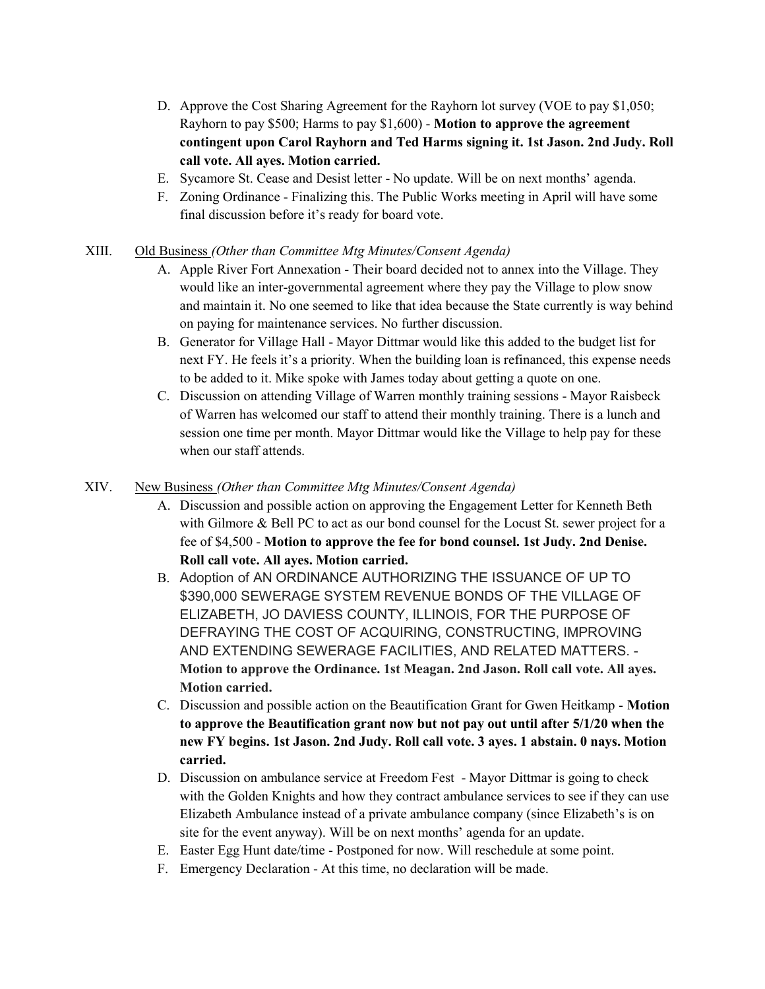- D. Approve the Cost Sharing Agreement for the Rayhorn lot survey (VOE to pay \$1,050; Rayhorn to pay \$500; Harms to pay \$1,600) - Motion to approve the agreement contingent upon Carol Rayhorn and Ted Harms signing it. 1st Jason. 2nd Judy. Roll call vote. All ayes. Motion carried.
- E. Sycamore St. Cease and Desist letter No update. Will be on next months' agenda.
- F. Zoning Ordinance Finalizing this. The Public Works meeting in April will have some final discussion before it's ready for board vote.

## XIII. Old Business (Other than Committee Mtg Minutes/Consent Agenda)

- A. Apple River Fort Annexation Their board decided not to annex into the Village. They would like an inter-governmental agreement where they pay the Village to plow snow and maintain it. No one seemed to like that idea because the State currently is way behind on paying for maintenance services. No further discussion.
- B. Generator for Village Hall Mayor Dittmar would like this added to the budget list for next FY. He feels it's a priority. When the building loan is refinanced, this expense needs to be added to it. Mike spoke with James today about getting a quote on one.
- C. Discussion on attending Village of Warren monthly training sessions Mayor Raisbeck of Warren has welcomed our staff to attend their monthly training. There is a lunch and session one time per month. Mayor Dittmar would like the Village to help pay for these when our staff attends.

# XIV. New Business (Other than Committee Mtg Minutes/Consent Agenda)

- A. Discussion and possible action on approving the Engagement Letter for Kenneth Beth with Gilmore & Bell PC to act as our bond counsel for the Locust St. sewer project for a fee of \$4,500 - Motion to approve the fee for bond counsel. 1st Judy. 2nd Denise. Roll call vote. All ayes. Motion carried.
- B. Adoption of AN ORDINANCE AUTHORIZING THE ISSUANCE OF UP TO \$390,000 SEWERAGE SYSTEM REVENUE BONDS OF THE VILLAGE OF ELIZABETH, JO DAVIESS COUNTY, ILLINOIS, FOR THE PURPOSE OF DEFRAYING THE COST OF ACQUIRING, CONSTRUCTING, IMPROVING AND EXTENDING SEWERAGE FACILITIES, AND RELATED MATTERS. - Motion to approve the Ordinance. 1st Meagan. 2nd Jason. Roll call vote. All ayes. Motion carried.
- C. Discussion and possible action on the Beautification Grant for Gwen Heitkamp Motion to approve the Beautification grant now but not pay out until after 5/1/20 when the new FY begins. 1st Jason. 2nd Judy. Roll call vote. 3 ayes. 1 abstain. 0 nays. Motion carried.
- D. Discussion on ambulance service at Freedom Fest Mayor Dittmar is going to check with the Golden Knights and how they contract ambulance services to see if they can use Elizabeth Ambulance instead of a private ambulance company (since Elizabeth's is on site for the event anyway). Will be on next months' agenda for an update.
- E. Easter Egg Hunt date/time Postponed for now. Will reschedule at some point.
- F. Emergency Declaration At this time, no declaration will be made.